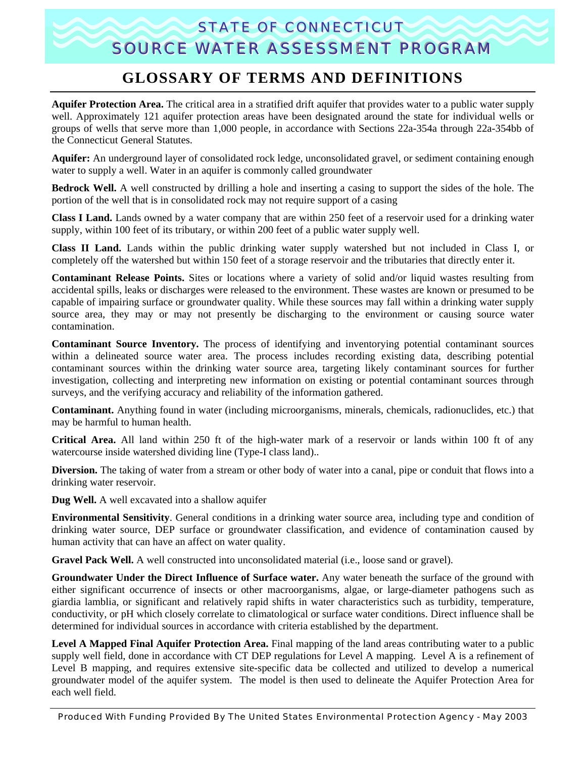## STATE OF CONNECTICUT SOURCE WATER ASSESSMENT PROGRAM

## **GLOSSARY OF TERMS AND DEFINITIONS**

**Aquifer Protection Area.** The critical area in a stratified drift aquifer that provides water to a public water supply well. Approximately 121 aquifer protection areas have been designated around the state for individual wells or groups of wells that serve more than 1,000 people, in accordance with Sections 22a-354a through 22a-354bb of the Connecticut General Statutes.

**Aquifer:** An underground layer of consolidated rock ledge, unconsolidated gravel, or sediment containing enough water to supply a well. Water in an aquifer is commonly called groundwater

**Bedrock Well.** A well constructed by drilling a hole and inserting a casing to support the sides of the hole. The portion of the well that is in consolidated rock may not require support of a casing

**Class I Land.** Lands owned by a water company that are within 250 feet of a reservoir used for a drinking water supply, within 100 feet of its tributary, or within 200 feet of a public water supply well.

**Class II Land.** Lands within the public drinking water supply watershed but not included in Class I, or completely off the watershed but within 150 feet of a storage reservoir and the tributaries that directly enter it.

**Contaminant Release Points.** Sites or locations where a variety of solid and/or liquid wastes resulting from accidental spills, leaks or discharges were released to the environment. These wastes are known or presumed to be capable of impairing surface or groundwater quality. While these sources may fall within a drinking water supply source area, they may or may not presently be discharging to the environment or causing source water contamination.

**Contaminant Source Inventory.** The process of identifying and inventorying potential contaminant sources within a delineated source water area. The process includes recording existing data, describing potential contaminant sources within the drinking water source area, targeting likely contaminant sources for further investigation, collecting and interpreting new information on existing or potential contaminant sources through surveys, and the verifying accuracy and reliability of the information gathered.

**Contaminant.** Anything found in water (including microorganisms, minerals, chemicals, radionuclides, etc.) that may be harmful to human health.

**Critical Area.** All land within 250 ft of the high-water mark of a reservoir or lands within 100 ft of any watercourse inside watershed dividing line (Type-I class land)..

**Diversion.** The taking of water from a stream or other body of water into a canal, pipe or conduit that flows into a drinking water reservoir.

**Dug Well.** A well excavated into a shallow aquifer

**Environmental Sensitivity**. General conditions in a drinking water source area, including type and condition of drinking water source, DEP surface or groundwater classification, and evidence of contamination caused by human activity that can have an affect on water quality.

**Gravel Pack Well.** A well constructed into unconsolidated material (i.e., loose sand or gravel).

**Groundwater Under the Direct Influence of Surface water.** Any water beneath the surface of the ground with either significant occurrence of insects or other macroorganisms, algae, or large-diameter pathogens such as giardia lamblia, or significant and relatively rapid shifts in water characteristics such as turbidity, temperature, conductivity, or pH which closely correlate to climatological or surface water conditions. Direct influence shall be determined for individual sources in accordance with criteria established by the department.

**Level A Mapped Final Aquifer Protection Area.** Final mapping of the land areas contributing water to a public supply well field, done in accordance with CT DEP regulations for Level A mapping. Level A is a refinement of Level B mapping, and requires extensive site-specific data be collected and utilized to develop a numerical groundwater model of the aquifer system. The model is then used to delineate the Aquifer Protection Area for each well field.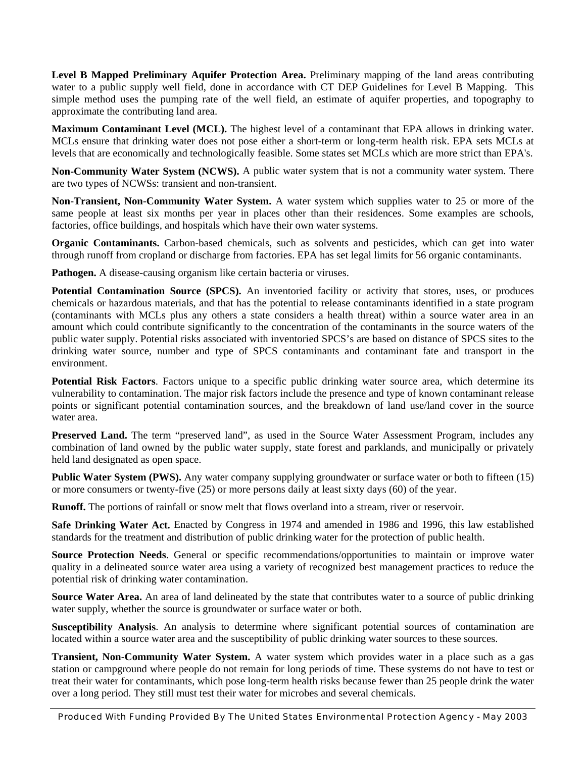**Level B Mapped Preliminary Aquifer Protection Area.** Preliminary mapping of the land areas contributing water to a public supply well field, done in accordance with CT DEP Guidelines for Level B Mapping. This simple method uses the pumping rate of the well field, an estimate of aquifer properties, and topography to approximate the contributing land area.

**Maximum Contaminant Level (MCL).** The highest level of a contaminant that EPA allows in drinking water. MCLs ensure that drinking water does not pose either a short-term or long-term health risk. EPA sets MCLs at levels that are economically and technologically feasible. Some states set MCLs which are more strict than EPA's.

**Non-Community Water System (NCWS).** A public water system that is not a community water system. There are two types of NCWSs: transient and non-transient.

**Non-Transient, Non-Community Water System.** A water system which supplies water to 25 or more of the same people at least six months per year in places other than their residences. Some examples are schools, factories, office buildings, and hospitals which have their own water systems.

**Organic Contaminants.** Carbon-based chemicals, such as solvents and pesticides, which can get into water through runoff from cropland or discharge from factories. EPA has set legal limits for 56 organic contaminants.

**Pathogen.** A disease-causing organism like certain bacteria or viruses.

**Potential Contamination Source (SPCS).** An inventoried facility or activity that stores, uses, or produces chemicals or hazardous materials, and that has the potential to release contaminants identified in a state program (contaminants with MCLs plus any others a state considers a health threat) within a source water area in an amount which could contribute significantly to the concentration of the contaminants in the source waters of the public water supply. Potential risks associated with inventoried SPCS's are based on distance of SPCS sites to the drinking water source, number and type of SPCS contaminants and contaminant fate and transport in the environment.

**Potential Risk Factors**. Factors unique to a specific public drinking water source area, which determine its vulnerability to contamination. The major risk factors include the presence and type of known contaminant release points or significant potential contamination sources, and the breakdown of land use/land cover in the source water area.

**Preserved Land.** The term "preserved land", as used in the Source Water Assessment Program, includes any combination of land owned by the public water supply, state forest and parklands, and municipally or privately held land designated as open space.

**Public Water System (PWS).** Any water company supplying groundwater or surface water or both to fifteen (15) or more consumers or twenty-five (25) or more persons daily at least sixty days (60) of the year.

**Runoff.** The portions of rainfall or snow melt that flows overland into a stream, river or reservoir.

**Safe Drinking Water Act.** Enacted by Congress in 1974 and amended in 1986 and 1996, this law established standards for the treatment and distribution of public drinking water for the protection of public health.

**Source Protection Needs**. General or specific recommendations/opportunities to maintain or improve water quality in a delineated source water area using a variety of recognized best management practices to reduce the potential risk of drinking water contamination.

**Source Water Area.** An area of land delineated by the state that contributes water to a source of public drinking water supply, whether the source is groundwater or surface water or both.

**Susceptibility Analysis**. An analysis to determine where significant potential sources of contamination are located within a source water area and the susceptibility of public drinking water sources to these sources.

**Transient, Non-Community Water System.** A water system which provides water in a place such as a gas station or campground where people do not remain for long periods of time. These systems do not have to test or treat their water for contaminants, which pose long-term health risks because fewer than 25 people drink the water over a long period. They still must test their water for microbes and several chemicals.